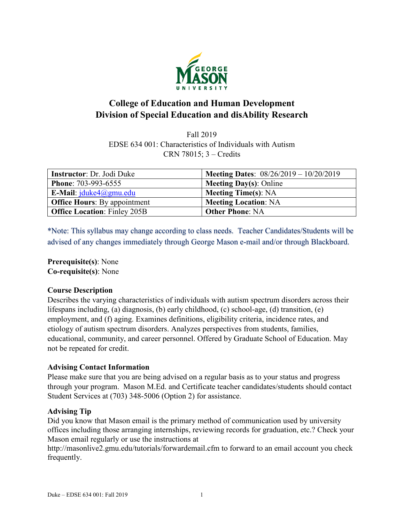

# **College of Education and Human Development Division of Special Education and disAbility Research**

Fall 2019 EDSE 634 001: Characteristics of Individuals with Autism CRN 78015; 3 – Credits

| <b>Instructor:</b> Dr. Jodi Duke    | <b>Meeting Dates:</b> $08/26/2019 - 10/20/2019$ |
|-------------------------------------|-------------------------------------------------|
| <b>Phone: 703-993-6555</b>          | <b>Meeting Day(s): Online</b>                   |
| E-Mail: $iduke4$ @gmu.edu           | <b>Meeting Time(s): NA</b>                      |
| <b>Office Hours:</b> By appointment | <b>Meeting Location: NA</b>                     |
| <b>Office Location: Finley 205B</b> | <b>Other Phone: NA</b>                          |

\*Note: This syllabus may change according to class needs. Teacher Candidates/Students will be advised of any changes immediately through George Mason e-mail and/or through Blackboard.

**Prerequisite(s)**: None **Co-requisite(s)**: None

# **Course Description**

Describes the varying characteristics of individuals with autism spectrum disorders across their lifespans including, (a) diagnosis, (b) early childhood, (c) school-age, (d) transition, (e) employment, and (f) aging. Examines definitions, eligibility criteria, incidence rates, and etiology of autism spectrum disorders. Analyzes perspectives from students, families, educational, community, and career personnel. Offered by Graduate School of Education. May not be repeated for credit.

# **Advising Contact Information**

Please make sure that you are being advised on a regular basis as to your status and progress through your program. Mason M.Ed. and Certificate teacher candidates/students should contact Student Services at (703) 348-5006 (Option 2) for assistance.

### **Advising Tip**

Did you know that Mason email is the primary method of communication used by university offices including those arranging internships, reviewing records for graduation, etc.? Check your Mason email regularly or use the instructions at

http://masonlive2.gmu.edu/tutorials/forwardemail.cfm to forward to an email account you check frequently.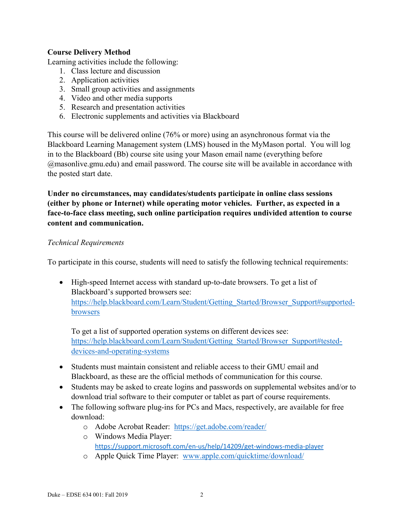# **Course Delivery Method**

Learning activities include the following:

- 1. Class lecture and discussion
- 2. Application activities
- 3. Small group activities and assignments
- 4. Video and other media supports
- 5. Research and presentation activities
- 6. Electronic supplements and activities via Blackboard

This course will be delivered online (76% or more) using an asynchronous format via the Blackboard Learning Management system (LMS) housed in the MyMason portal. You will log in to the Blackboard (Bb) course site using your Mason email name (everything before @masonlive.gmu.edu) and email password. The course site will be available in accordance with the posted start date.

**Under no circumstances, may candidates/students participate in online class sessions (either by phone or Internet) while operating motor vehicles. Further, as expected in a face-to-face class meeting, such online participation requires undivided attention to course content and communication.**

# *Technical Requirements*

To participate in this course, students will need to satisfy the following technical requirements:

• High-speed Internet access with standard up-to-date browsers. To get a list of Blackboard's supported browsers see: [https://help.blackboard.com/Learn/Student/Getting\\_Started/Browser\\_Support#supported](https://help.blackboard.com/Learn/Student/Getting_Started/Browser_Support#supported-browsers)[browsers](https://help.blackboard.com/Learn/Student/Getting_Started/Browser_Support#supported-browsers)

To get a list of supported operation systems on different devices see: [https://help.blackboard.com/Learn/Student/Getting\\_Started/Browser\\_Support#tested](https://help.blackboard.com/Learn/Student/Getting_Started/Browser_Support#tested-devices-and-operating-systems)[devices-and-operating-systems](https://help.blackboard.com/Learn/Student/Getting_Started/Browser_Support#tested-devices-and-operating-systems)

- Students must maintain consistent and reliable access to their GMU email and Blackboard, as these are the official methods of communication for this course.
- Students may be asked to create logins and passwords on supplemental websites and/or to download trial software to their computer or tablet as part of course requirements.
- The following software plug-ins for PCs and Macs, respectively, are available for free download:
	- o Adobe Acrobat Reader: <https://get.adobe.com/reader/>
	- o Windows Media Player: <https://support.microsoft.com/en-us/help/14209/get-windows-media-player>
	- o Apple Quick Time Player: [www.apple.com/quicktime/download/](http://www.apple.com/quicktime/download/)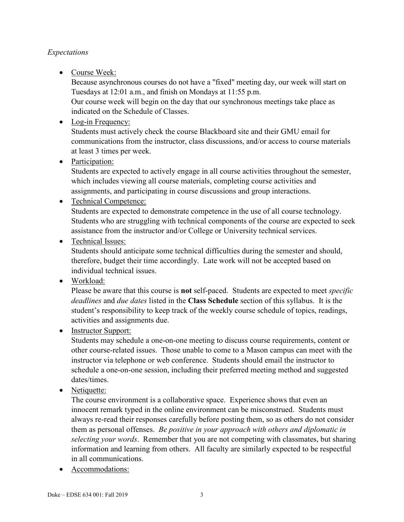# *Expectations*

• Course Week:

Because asynchronous courses do not have a "fixed" meeting day, our week will start on Tuesdays at 12:01 a.m., and finish on Mondays at 11:55 p.m.

Our course week will begin on the day that our synchronous meetings take place as indicated on the Schedule of Classes.

• Log-in Frequency:

Students must actively check the course Blackboard site and their GMU email for communications from the instructor, class discussions, and/or access to course materials at least 3 times per week.

• Participation:

Students are expected to actively engage in all course activities throughout the semester, which includes viewing all course materials, completing course activities and assignments, and participating in course discussions and group interactions.

# • Technical Competence:

Students are expected to demonstrate competence in the use of all course technology. Students who are struggling with technical components of the course are expected to seek assistance from the instructor and/or College or University technical services.

• Technical Issues:

Students should anticipate some technical difficulties during the semester and should, therefore, budget their time accordingly. Late work will not be accepted based on individual technical issues.

• Workload:

Please be aware that this course is **not** self-paced. Students are expected to meet *specific deadlines* and *due dates* listed in the **Class Schedule** section of this syllabus. It is the student's responsibility to keep track of the weekly course schedule of topics, readings, activities and assignments due.

• Instructor Support:

Students may schedule a one-on-one meeting to discuss course requirements, content or other course-related issues. Those unable to come to a Mason campus can meet with the instructor via telephone or web conference. Students should email the instructor to schedule a one-on-one session, including their preferred meeting method and suggested dates/times.

• Netiquette:

The course environment is a collaborative space. Experience shows that even an innocent remark typed in the online environment can be misconstrued. Students must always re-read their responses carefully before posting them, so as others do not consider them as personal offenses. *Be positive in your approach with others and diplomatic in selecting your words*. Remember that you are not competing with classmates, but sharing information and learning from others. All faculty are similarly expected to be respectful in all communications.

• Accommodations: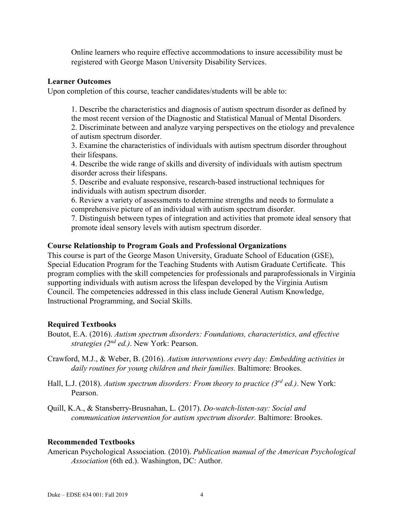Online learners who require effective accommodations to insure accessibility must be registered with George Mason University Disability Services.

### **Learner Outcomes**

Upon completion of this course, teacher candidates/students will be able to:

1. Describe the characteristics and diagnosis of autism spectrum disorder as defined by the most recent version of the Diagnostic and Statistical Manual of Mental Disorders. 2. Discriminate between and analyze varying perspectives on the etiology and prevalence of autism spectrum disorder.

3. Examine the characteristics of individuals with autism spectrum disorder throughout their lifespans.

4. Describe the wide range of skills and diversity of individuals with autism spectrum disorder across their lifespans.

5. Describe and evaluate responsive, research-based instructional techniques for individuals with autism spectrum disorder.

6. Review a variety of assessments to determine strengths and needs to formulate a comprehensive picture of an individual with autism spectrum disorder.

7. Distinguish between types of integration and activities that promote ideal sensory that promote ideal sensory levels with autism spectrum disorder.

#### **Course Relationship to Program Goals and Professional Organizations**

This course is part of the George Mason University, Graduate School of Education (GSE), Special Education Program for the Teaching Students with Autism Graduate Certificate. This program complies with the skill competencies for professionals and paraprofessionals in Virginia supporting individuals with autism across the lifespan developed by the Virginia Autism Council. The competencies addressed in this class include General Autism Knowledge, Instructional Programming, and Social Skills.

### **Required Textbooks**

- Boutot, E.A. (2016). *Autism spectrum disorders: Foundations, characteristics, and effective strategies (2nd ed.)*. New York: Pearson.
- Crawford, M.J., & Weber, B. (2016). *Autism interventions every day: Embedding activities in daily routines for young children and their families.* Baltimore: Brookes.
- Hall, L.J. (2018). *Autism spectrum disorders: From theory to practice (3rd ed.)*. New York: Pearson.
- Quill, K.A., & Stansberry-Brusnahan, L. (2017). *Do-watch-listen-say: Social and communication intervention for autism spectrum disorder.* Baltimore: Brookes.

#### **Recommended Textbooks**

American Psychological Association*.* (2010). *Publication manual of the American Psychological Association* (6th ed.). Washington, DC: Author.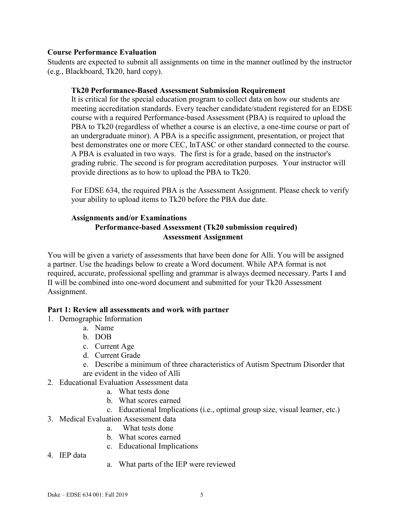# **Course Performance Evaluation**

Students are expected to submit all assignments on time in the manner outlined by the instructor (e.g., Blackboard, Tk20, hard copy).

# **Tk20 Performance-Based Assessment Submission Requirement**

It is critical for the special education program to collect data on how our students are meeting accreditation standards. Every teacher candidate/student registered for an EDSE course with a required Performance-based Assessment (PBA) is required to upload the PBA to Tk20 (regardless of whether a course is an elective, a one-time course or part of an undergraduate minor). A PBA is a specific assignment, presentation, or project that best demonstrates one or more CEC, InTASC or other standard connected to the course. A PBA is evaluated in two ways. The first is for a grade, based on the instructor's grading rubric. The second is for program accreditation purposes. Your instructor will provide directions as to how to upload the PBA to Tk20.

For EDSE 634, the required PBA is the Assessment Assignment. Please check to verify your ability to upload items to Tk20 before the PBA due date.

# **Assignments and/or Examinations Performance-based Assessment (Tk20 submission required) Assessment Assignment**

You will be given a variety of assessments that have been done for Alli. You will be assigned a partner. Use the headings below to create a Word document. While APA format is not required, accurate, professional spelling and grammar is always deemed necessary. Parts I and II will be combined into one-word document and submitted for your Tk20 Assessment Assignment.

# **Part 1: Review all assessments and work with partner**

- 1. Demographic Information
	- a. Name
	- b. DOB
	- c. Current Age
	- d. Current Grade
	- e. Describe a minimum of three characteristics of Autism Spectrum Disorder that are evident in the video of Alli
- 2. Educational Evaluation Assessment data
	- a. What tests done
	- b. What scores earned
	- c. Educational Implications (i.e., optimal group size, visual learner, etc.)
- 3. Medical Evaluation Assessment data
	- a. What tests done
	- b. What scores earned
	- c. Educational Implications
- 4. IEP data
- a. What parts of the IEP were reviewed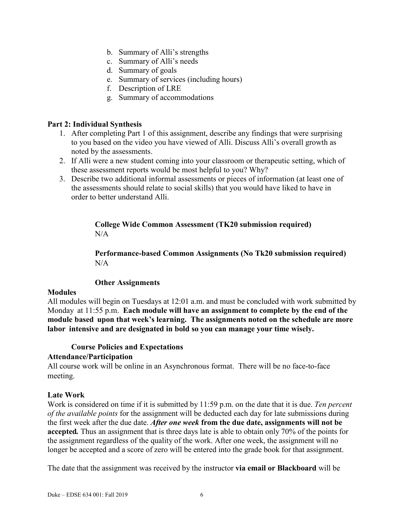- b. Summary of Alli's strengths
- c. Summary of Alli's needs
- d. Summary of goals
- e. Summary of services (including hours)
- f. Description of LRE
- g. Summary of accommodations

# **Part 2: Individual Synthesis**

- 1. After completing Part 1 of this assignment, describe any findings that were surprising to you based on the video you have viewed of Alli. Discuss Alli's overall growth as noted by the assessments.
- 2. If Alli were a new student coming into your classroom or therapeutic setting, which of these assessment reports would be most helpful to you? Why?
- 3. Describe two additional informal assessments or pieces of information (at least one of the assessments should relate to social skills) that you would have liked to have in order to better understand Alli.

# **College Wide Common Assessment (TK20 submission required)**  $N/A$

**Performance-based Common Assignments (No Tk20 submission required)**  $N/A$ 

### **Other Assignments**

### **Modules**

All modules will begin on Tuesdays at 12:01 a.m. and must be concluded with work submitted by Monday at 11:55 p.m. **Each module will have an assignment to complete by the end of the module based upon that week's learning. The assignments noted on the schedule are more labor intensive and are designated in bold so you can manage your time wisely.**

# **Course Policies and Expectations**

# **Attendance/Participation**

All course work will be online in an Asynchronous format. There will be no face-to-face meeting.

### **Late Work**

Work is considered on time if it is submitted by 11:59 p.m. on the date that it is due. *Ten percent of the available points* for the assignment will be deducted each day for late submissions during the first week after the due date. *After one week* **from the due date, assignments will not be accepted***.* Thus an assignment that is three days late is able to obtain only 70% of the points for the assignment regardless of the quality of the work. After one week, the assignment will no longer be accepted and a score of zero will be entered into the grade book for that assignment.

The date that the assignment was received by the instructor **via email or Blackboard** will be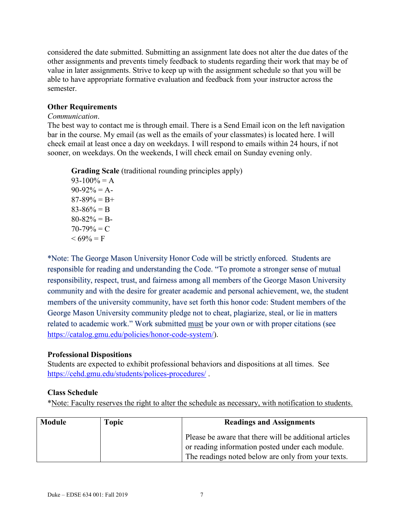considered the date submitted. Submitting an assignment late does not alter the due dates of the other assignments and prevents timely feedback to students regarding their work that may be of value in later assignments. Strive to keep up with the assignment schedule so that you will be able to have appropriate formative evaluation and feedback from your instructor across the semester.

# **Other Requirements**

#### *Communication*.

The best way to contact me is through email. There is a Send Email icon on the left navigation bar in the course. My email (as well as the emails of your classmates) is located here. I will check email at least once a day on weekdays. I will respond to emails within 24 hours, if not sooner, on weekdays. On the weekends, I will check email on Sunday evening only.

**Grading Scale** (traditional rounding principles apply)

 $93-100% = A$  $90-92\% = A$  $87-89\% = B+$  $83-86% = B$  $80 - 82\% = B$  $70-79\% = C$  $< 69\% = F$ 

\*Note: The George Mason University Honor Code will be strictly enforced. Students are responsible for reading and understanding the Code. "To promote a stronger sense of mutual responsibility, respect, trust, and fairness among all members of the George Mason University community and with the desire for greater academic and personal achievement, we, the student members of the university community, have set forth this honor code: Student members of the George Mason University community pledge not to cheat, plagiarize, steal, or lie in matters related to academic work." Work submitted must be your own or with proper citations (see [https://catalog.gmu.edu/policies/honor-code-system/\)](https://catalog.gmu.edu/policies/honor-code-system/).

### **Professional Dispositions**

Students are expected to exhibit professional behaviors and dispositions at all times. See <https://cehd.gmu.edu/students/polices-procedures/> .

### **Class Schedule**

\*Note: Faculty reserves the right to alter the schedule as necessary, with notification to students.

| <b>Module</b> | <b>Topic</b> | <b>Readings and Assignments</b>                                                                                                                                  |  |
|---------------|--------------|------------------------------------------------------------------------------------------------------------------------------------------------------------------|--|
|               |              | Please be aware that there will be additional articles<br>or reading information posted under each module.<br>The readings noted below are only from your texts. |  |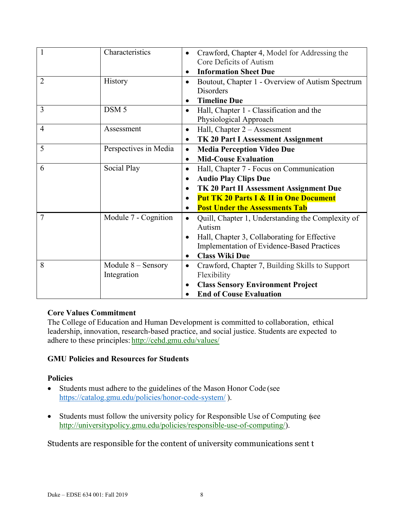| 1              | Characteristics       |           | Crawford, Chapter 4, Model for Addressing the     |  |
|----------------|-----------------------|-----------|---------------------------------------------------|--|
|                |                       |           | Core Deficits of Autism                           |  |
|                |                       |           | <b>Information Sheet Due</b>                      |  |
| 2              | <b>History</b>        | $\bullet$ | Boutout, Chapter 1 - Overview of Autism Spectrum  |  |
|                |                       |           | Disorders                                         |  |
|                |                       |           | <b>Timeline Due</b>                               |  |
| 3              | DSM <sub>5</sub>      | $\bullet$ | Hall, Chapter 1 - Classification and the          |  |
|                |                       |           | Physiological Approach                            |  |
| $\overline{4}$ | Assessment            | $\bullet$ | Hall, Chapter 2 - Assessment                      |  |
|                |                       | $\bullet$ | TK 20 Part I Assessment Assignment                |  |
| 5              | Perspectives in Media | $\bullet$ | <b>Media Perception Video Due</b>                 |  |
|                |                       | $\bullet$ | <b>Mid-Couse Evaluation</b>                       |  |
| 6              | Social Play           | $\bullet$ | Hall, Chapter 7 - Focus on Communication          |  |
|                |                       | $\bullet$ | <b>Audio Play Clips Due</b>                       |  |
|                |                       |           | TK 20 Part II Assessment Assignment Due           |  |
|                |                       |           | <b>Put TK 20 Parts I &amp; II in One Document</b> |  |
|                |                       |           | <b>Post Under the Assessments Tab</b>             |  |
| $\overline{7}$ | Module 7 - Cognition  | $\bullet$ | Quill, Chapter 1, Understanding the Complexity of |  |
|                |                       |           | Autism                                            |  |
|                |                       | $\bullet$ | Hall, Chapter 3, Collaborating for Effective      |  |
|                |                       |           | <b>Implementation of Evidence-Based Practices</b> |  |
|                |                       | $\bullet$ | <b>Class Wiki Due</b>                             |  |
| 8              | Module $8 -$ Sensory  | $\bullet$ | Crawford, Chapter 7, Building Skills to Support   |  |
|                | Integration           |           | Flexibility                                       |  |
|                |                       | $\bullet$ | <b>Class Sensory Environment Project</b>          |  |
|                |                       | $\bullet$ | <b>End of Couse Evaluation</b>                    |  |

# **Core Values Commitment**

The College of Education and Human Development is committed to collaboration, ethical leadership, innovation, research-based practice, and social justice. Students are expected to adhere to these principles: <http://cehd.gmu.edu/values/>

### **GMU Policies and Resources for Students**

### **Policies**

- Students must adhere to the guidelines of the Mason Honor Code (see <https://catalog.gmu.edu/policies/honor-code-system/> ).
- Students must follow the university policy for Responsible Use of Computing (see [http://universitypolicy.gmu.edu/policies/responsible-use-of-computing/\)](http://universitypolicy.gmu.edu/policies/responsible-use-of-computing/).

Students are responsible for the content of university communications sent t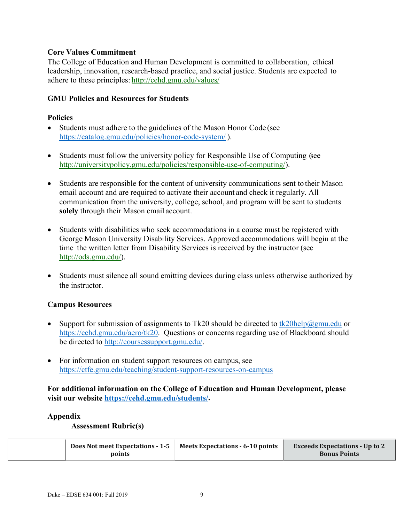# **Core Values Commitment**

The College of Education and Human Development is committed to collaboration, ethical leadership, innovation, research-based practice, and social justice. Students are expected to adhere to these principles: <http://cehd.gmu.edu/values/>

# **GMU Policies and Resources for Students**

### **Policies**

- Students must adhere to the guidelines of the Mason Honor Code (see <https://catalog.gmu.edu/policies/honor-code-system/> ).
- Students must follow the university policy for Responsible Use of Computing (see [http://universitypolicy.gmu.edu/policies/responsible-use-of-computing/\)](http://universitypolicy.gmu.edu/policies/responsible-use-of-computing/).
- Students are responsible for the content of university communications sent to their Mason email account and are required to activate their account and check it regularly. All communication from the university, college, school, and program will be sent to students **solely** through their Mason email account.
- Students with disabilities who seek accommodations in a course must be registered with George Mason University Disability Services. Approved accommodations will begin at the time the written letter from Disability Services is received by the instructor (see [http://ods.gmu.edu/\)](http://ods.gmu.edu/).
- Students must silence all sound emitting devices during class unless otherwise authorized by the instructor.

### **Campus Resources**

- Support for submission of assignments to Tk20 should be directed to [tk20help@gmu.edu](mailto:tk20help@gmu.edu) or [https://cehd.gmu.edu/aero/tk20.](https://cehd.gmu.edu/aero/tk20) Questions or concerns regarding use of Blackboard should be directed to [http://coursessupport.gmu.edu/.](http://coursessupport.gmu.edu/)
- For information on student support resources on campus, see <https://ctfe.gmu.edu/teaching/student-support-resources-on-campus>

# **For additional information on the College of Education and Human Development, please visit our website [https://cehd.gmu.edu/students/.](https://cehd.gmu.edu/students/)**

### **Appendix**

### **Assessment Rubric(s)**

| Does Not meet Expectations - 1-5 | Meets Expectations - 6-10 points | <b>Exceeds Expectations - Up to 2</b> |
|----------------------------------|----------------------------------|---------------------------------------|
| points                           |                                  | <b>Bonus Points</b>                   |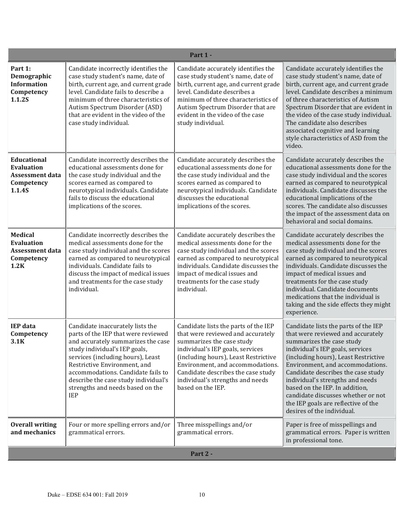| Part 1 -                                                                                  |                                                                                                                                                                                                                                                                                                                                                     |                                                                                                                                                                                                                                                                                                                       |                                                                                                                                                                                                                                                                                                                                                                                                                                               |
|-------------------------------------------------------------------------------------------|-----------------------------------------------------------------------------------------------------------------------------------------------------------------------------------------------------------------------------------------------------------------------------------------------------------------------------------------------------|-----------------------------------------------------------------------------------------------------------------------------------------------------------------------------------------------------------------------------------------------------------------------------------------------------------------------|-----------------------------------------------------------------------------------------------------------------------------------------------------------------------------------------------------------------------------------------------------------------------------------------------------------------------------------------------------------------------------------------------------------------------------------------------|
| Part 1:<br>Demographic<br><b>Information</b><br>Competency<br>1.1.2S                      | Candidate incorrectly identifies the<br>case study student's name, date of<br>birth, current age, and current grade<br>level. Candidate fails to describe a<br>minimum of three characteristics of<br>Autism Spectrum Disorder (ASD)<br>that are evident in the video of the<br>case study individual.                                              | Candidate accurately identifies the<br>case study student's name, date of<br>birth, current age, and current grade<br>level. Candidate describes a<br>minimum of three characteristics of<br>Autism Spectrum Disorder that are<br>evident in the video of the case<br>study individual.                               | Candidate accurately identifies the<br>case study student's name, date of<br>birth, current age, and current grade<br>level. Candidate describes a minimum<br>of three characteristics of Autism<br>Spectrum Disorder that are evident in<br>the video of the case study individual.<br>The candidate also describes<br>associated cognitive and learning<br>style characteristics of ASD from the<br>video.                                  |
| <b>Educational</b><br><b>Evaluation</b><br><b>Assessment data</b><br>Competency<br>1.1.4S | Candidate incorrectly describes the<br>educational assessments done for<br>the case study individual and the<br>scores earned as compared to<br>neurotypical individuals. Candidate<br>fails to discuss the educational<br>implications of the scores.                                                                                              | Candidate accurately describes the<br>educational assessments done for<br>the case study individual and the<br>scores earned as compared to<br>neurotypical individuals. Candidate<br>discusses the educational<br>implications of the scores.                                                                        | Candidate accurately describes the<br>educational assessments done for the<br>case study individual and the scores<br>earned as compared to neurotypical<br>individuals. Candidate discusses the<br>educational implications of the<br>scores. The candidate also discusses<br>the impact of the assessment data on<br>behavioral and social domains.                                                                                         |
| <b>Medical</b><br><b>Evaluation</b><br><b>Assessment data</b><br>Competency<br>1.2K       | Candidate incorrectly describes the<br>medical assessments done for the<br>case study individual and the scores<br>earned as compared to neurotypical<br>individuals. Candidate fails to<br>discuss the impact of medical issues<br>and treatments for the case study<br>individual.                                                                | Candidate accurately describes the<br>medical assessments done for the<br>case study individual and the scores<br>earned as compared to neurotypical<br>individuals. Candidate discusses the<br>impact of medical issues and<br>treatments for the case study<br>individual.                                          | Candidate accurately describes the<br>medical assessments done for the<br>case study individual and the scores<br>earned as compared to neurotypical<br>individuals. Candidate discusses the<br>impact of medical issues and<br>treatments for the case study<br>individual. Candidate documents<br>medications that the individual is<br>taking and the side effects they might<br>experience.                                               |
| <b>IEP</b> data<br>Competency<br>3.1K                                                     | Candidate inaccurately lists the<br>parts of the IEP that were reviewed<br>and accurately summarizes the case<br>study individual's IEP goals,<br>services (including hours), Least<br>Restrictive Environment, and<br>accommodations. Candidate fails to<br>describe the case study individual's<br>strengths and needs based on the<br><b>IEP</b> | Candidate lists the parts of the IEP<br>that were reviewed and accurately<br>summarizes the case study<br>individual's IEP goals, services<br>(including hours), Least Restrictive<br>Environment, and accommodations.<br>Candidate describes the case study<br>individual's strengths and needs<br>based on the IEP. | Candidate lists the parts of the IEP<br>that were reviewed and accurately<br>summarizes the case study<br>individual's IEP goals, services<br>(including hours), Least Restrictive<br>Environment, and accommodations.<br>Candidate describes the case study<br>individual's strengths and needs<br>based on the IEP. In addition,<br>candidate discusses whether or not<br>the IEP goals are reflective of the<br>desires of the individual. |
| <b>Overall writing</b><br>and mechanics                                                   | Four or more spelling errors and/or<br>grammatical errors.                                                                                                                                                                                                                                                                                          | Three misspellings and/or<br>grammatical errors.                                                                                                                                                                                                                                                                      | Paper is free of misspellings and<br>grammatical errors. Paper is written<br>in professional tone.                                                                                                                                                                                                                                                                                                                                            |
| Part 2 -                                                                                  |                                                                                                                                                                                                                                                                                                                                                     |                                                                                                                                                                                                                                                                                                                       |                                                                                                                                                                                                                                                                                                                                                                                                                                               |